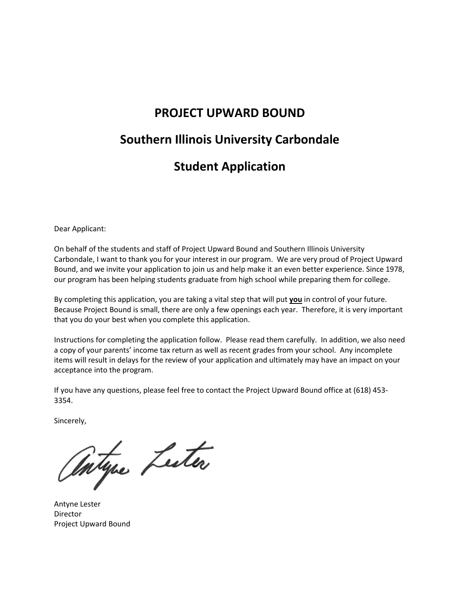### **PROJECT UPWARD BOUND**

# **Southern Illinois University Carbondale**

# **Student Application**

Dear Applicant:

On behalf of the students and staff of Project Upward Bound and Southern Illinois University Carbondale, I want to thank you for your interest in our program. We are very proud of Project Upward Bound, and we invite your application to join us and help make it an even better experience. Since 1978, our program has been helping students graduate from high school while preparing them for college.

By completing this application, you are taking a vital step that will put **you** in control of your future. Because Project Bound is small, there are only a few openings each year. Therefore, it is very important that you do your best when you complete this application.

Instructions for completing the application follow. Please read them carefully. In addition, we also need a copy of your parents' income tax return as well as recent grades from your school. Any incomplete items will result in delays for the review of your application and ultimately may have an impact on your acceptance into the program.

If you have any questions, please feel free to contact the Project Upward Bound office at (618) 453- 3354.

Sincerely,

Intyre Lecter

Antyne Lester Director Project Upward Bound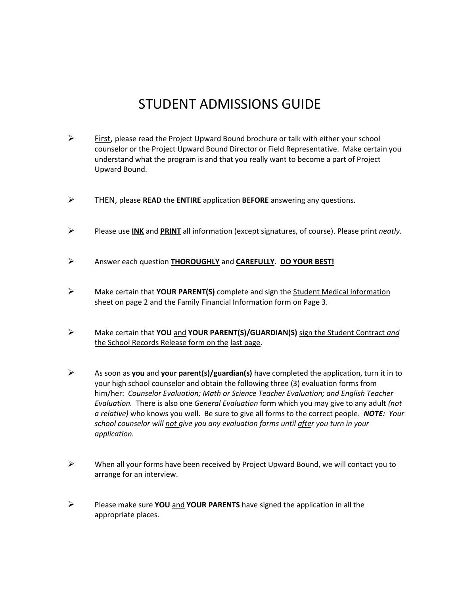# STUDENT ADMISSIONS GUIDE

- $\triangleright$  First, please read the Project Upward Bound brochure or talk with either your school counselor or the Project Upward Bound Director or Field Representative. Make certain you understand what the program is and that you really want to become a part of Project Upward Bound.
- THEN, please **READ** the **ENTIRE** application **BEFORE** answering any questions.
- Please use **INK** and **PRINT** all information (except signatures, of course). Please print *neatly*.
- Answer each question **THOROUGHLY** and **CAREFULLY**.**DO YOUR BEST!**
- Make certain that **YOUR PARENT(S)** complete and sign the Student Medical Information sheet on page 2 and the Family Financial Information form on Page 3.
- Make certain that **YOU** and **YOUR PARENT(S)/GUARDIAN(S)** sign the Student Contract *and*  the School Records Release form on the last page.
- As soon as **you** and **your parent(s)/guardian(s)** have completed the application, turn it in to your high school counselor and obtain the following three (3) evaluation forms from him/her: *Counselor Evaluation; Math or Science Teacher Evaluation; and English Teacher Evaluation.* There is also one *General Evaluation* form which you may give to any adult *(not a relative)* who knows you well. Be sure to give all forms to the correct people. *NOTE: Your school counselor will not give you any evaluation forms until after you turn in your application.*
- $\triangleright$  When all your forms have been received by Project Upward Bound, we will contact you to arrange for an interview.
- Please make sure **YOU** and **YOUR PARENTS** have signed the application in all the appropriate places.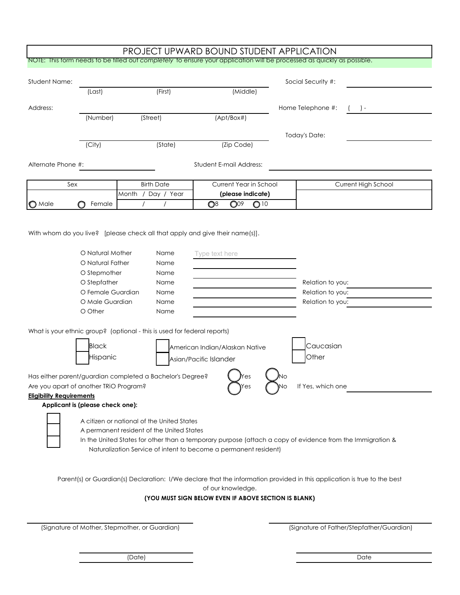|                                                                                                                        |                                  |                                                                  |          |                                                      |                        |                 |  | <b>PROJECT UPWARD BOUND STUDENT APPLICATION</b> |                                                                                                                          |
|------------------------------------------------------------------------------------------------------------------------|----------------------------------|------------------------------------------------------------------|----------|------------------------------------------------------|------------------------|-----------------|--|-------------------------------------------------|--------------------------------------------------------------------------------------------------------------------------|
| NOTE: This form needs to be filled out completely to ensure your application will be processed as quickly as possible. |                                  |                                                                  |          |                                                      |                        |                 |  |                                                 |                                                                                                                          |
| <b>Student Name:</b>                                                                                                   |                                  |                                                                  |          |                                                      |                        |                 |  | Social Security #:                              |                                                                                                                          |
|                                                                                                                        | (Last)                           |                                                                  | (First)  |                                                      | (Middle)               |                 |  |                                                 |                                                                                                                          |
|                                                                                                                        |                                  |                                                                  |          |                                                      |                        |                 |  |                                                 |                                                                                                                          |
| Address:                                                                                                               |                                  |                                                                  |          |                                                      |                        |                 |  | Home Telephone #:                               | $($ ) –                                                                                                                  |
|                                                                                                                        | (Number)                         | (Street)                                                         |          |                                                      | (Apt/Box#)             |                 |  |                                                 |                                                                                                                          |
|                                                                                                                        |                                  |                                                                  |          |                                                      |                        |                 |  | Today's Date:                                   |                                                                                                                          |
|                                                                                                                        | (City)                           |                                                                  | (State)  |                                                      | (Zip Code)             |                 |  |                                                 |                                                                                                                          |
|                                                                                                                        |                                  |                                                                  |          |                                                      |                        |                 |  |                                                 |                                                                                                                          |
| Alternate Phone #:                                                                                                     |                                  |                                                                  |          | Student E-mail Address:                              |                        |                 |  |                                                 |                                                                                                                          |
|                                                                                                                        |                                  |                                                                  |          |                                                      |                        |                 |  |                                                 |                                                                                                                          |
| Sex                                                                                                                    |                                  | <b>Birth Date</b>                                                |          |                                                      | Current Year in School |                 |  |                                                 | Current High School                                                                                                      |
|                                                                                                                        |                                  | Month / Day / Year                                               |          |                                                      | (please indicate)      |                 |  |                                                 |                                                                                                                          |
| $\bigcirc$ Male                                                                                                        | Female                           |                                                                  | $\prime$ | $\mathbb{O}^8$                                       | $\bigcirc$ 09          | O <sup>10</sup> |  |                                                 |                                                                                                                          |
|                                                                                                                        |                                  |                                                                  |          |                                                      |                        |                 |  |                                                 |                                                                                                                          |
|                                                                                                                        |                                  |                                                                  |          |                                                      |                        |                 |  |                                                 |                                                                                                                          |
| With whom do you live? [please check all that apply and give their name(s)].                                           |                                  |                                                                  |          |                                                      |                        |                 |  |                                                 |                                                                                                                          |
|                                                                                                                        |                                  |                                                                  |          |                                                      |                        |                 |  |                                                 |                                                                                                                          |
|                                                                                                                        | O Natural Mother                 |                                                                  | Name     | Type text here                                       |                        |                 |  |                                                 |                                                                                                                          |
|                                                                                                                        | O Natural Father                 |                                                                  | Name     |                                                      |                        |                 |  |                                                 |                                                                                                                          |
|                                                                                                                        | O Stepmother                     |                                                                  | Name     |                                                      |                        |                 |  |                                                 |                                                                                                                          |
|                                                                                                                        | O Stepfather<br>Name             |                                                                  |          |                                                      |                        |                 |  | Relation to you:                                |                                                                                                                          |
|                                                                                                                        | O Female Guardian                |                                                                  | Name     |                                                      |                        |                 |  | Relation to you:                                |                                                                                                                          |
|                                                                                                                        | O Male Guardian                  |                                                                  | Name     |                                                      |                        |                 |  | Relation to you:                                |                                                                                                                          |
|                                                                                                                        | O Other                          |                                                                  | Name     |                                                      |                        |                 |  |                                                 |                                                                                                                          |
|                                                                                                                        |                                  |                                                                  |          |                                                      |                        |                 |  |                                                 |                                                                                                                          |
| What is your ethnic group? (optional - this is used for federal reports)                                               |                                  |                                                                  |          |                                                      |                        |                 |  |                                                 |                                                                                                                          |
|                                                                                                                        | <b>Black</b>                     |                                                                  |          | American Indian/Alaskan Native                       |                        |                 |  | Caucasian                                       |                                                                                                                          |
|                                                                                                                        | Hispanic                         |                                                                  |          | Asian/Pacific Islander                               |                        |                 |  | Other                                           |                                                                                                                          |
|                                                                                                                        |                                  |                                                                  |          |                                                      |                        |                 |  |                                                 |                                                                                                                          |
| Has either parent/guardian completed a Bachelor's Degree?                                                              |                                  |                                                                  |          |                                                      | Yes                    |                 |  |                                                 |                                                                                                                          |
| Are you apart of another TRIO Program?                                                                                 |                                  |                                                                  |          |                                                      |                        |                 |  | If Yes, which one                               |                                                                                                                          |
| <b>Eligibility Requirements</b>                                                                                        |                                  |                                                                  |          |                                                      |                        |                 |  |                                                 |                                                                                                                          |
|                                                                                                                        | Applicant is (please check one): |                                                                  |          |                                                      |                        |                 |  |                                                 |                                                                                                                          |
|                                                                                                                        |                                  |                                                                  |          |                                                      |                        |                 |  |                                                 |                                                                                                                          |
| A citizen or national of the United States<br>A permanent resident of the United States                                |                                  |                                                                  |          |                                                      |                        |                 |  |                                                 |                                                                                                                          |
| In the United States for other than a temporary purpose (attach a copy of evidence from the Immigration &              |                                  |                                                                  |          |                                                      |                        |                 |  |                                                 |                                                                                                                          |
|                                                                                                                        |                                  | Naturalization Service of intent to become a permanent resident) |          |                                                      |                        |                 |  |                                                 |                                                                                                                          |
|                                                                                                                        |                                  |                                                                  |          |                                                      |                        |                 |  |                                                 |                                                                                                                          |
|                                                                                                                        |                                  |                                                                  |          |                                                      |                        |                 |  |                                                 |                                                                                                                          |
|                                                                                                                        |                                  |                                                                  |          |                                                      |                        |                 |  |                                                 | Parent(s) or Guardian(s) Declaration: I/We declare that the information provided in this application is true to the best |
|                                                                                                                        |                                  |                                                                  |          |                                                      | of our knowledge.      |                 |  |                                                 |                                                                                                                          |
|                                                                                                                        |                                  |                                                                  |          | (YOU MUST SIGN BELOW EVEN IF ABOVE SECTION IS BLANK) |                        |                 |  |                                                 |                                                                                                                          |
|                                                                                                                        |                                  |                                                                  |          |                                                      |                        |                 |  |                                                 |                                                                                                                          |

(Signature of Mother, Stepmother, or Guardian) (Signature of Father/Stepfather/Guardian)

(Date) Date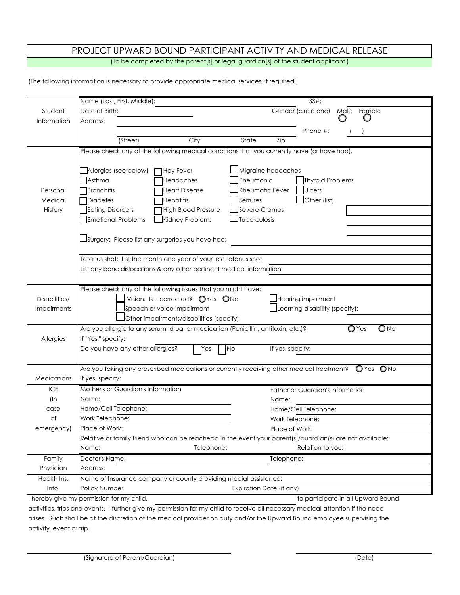## PROJECT UPWARD BOUND PARTICIPANT ACTIVITY AND MEDICAL RELEASE

(To be completed by the parent[s] or legal guardian[s] of the student applicant.)

(The following information is necessary to provide appropriate medical services, if required.)

|                    | Name (Last, First, Middle):                                                        |                                                                                                          |                             |                    | $SS#$ :                          |  |                                              |  |
|--------------------|------------------------------------------------------------------------------------|----------------------------------------------------------------------------------------------------------|-----------------------------|--------------------|----------------------------------|--|----------------------------------------------|--|
| Student            | Date of Birth:                                                                     |                                                                                                          |                             |                    | Gender (circle one)              |  | Male Female                                  |  |
| Information        | Address:                                                                           |                                                                                                          |                             |                    |                                  |  |                                              |  |
|                    |                                                                                    |                                                                                                          |                             |                    | Phone #:                         |  |                                              |  |
|                    | (Street)                                                                           | City                                                                                                     | State                       | Zip                |                                  |  |                                              |  |
|                    |                                                                                    | Please check any of the following medical conditions that you currently have (or have had).              |                             |                    |                                  |  |                                              |  |
|                    |                                                                                    |                                                                                                          |                             |                    |                                  |  |                                              |  |
|                    | Allergies (see below)                                                              | Hay Fever                                                                                                |                             | Migraine headaches |                                  |  |                                              |  |
|                    | Asthma                                                                             | Headaches                                                                                                | Pneumonia                   |                    | Thyroid Problems                 |  |                                              |  |
| Personal           | <b>Bronchitis</b>                                                                  | <b>Heart Disease</b>                                                                                     | Rheumatic Fever             |                    | <b>Ulcers</b>                    |  |                                              |  |
| Medical            | Diabetes                                                                           | Hepatitis                                                                                                | Seizures                    |                    | $\Box$ Other (list)              |  |                                              |  |
| History            | Eating Disorders                                                                   | High Blood Pressure                                                                                      | $\Box$ Severe Cramps        |                    |                                  |  |                                              |  |
|                    | <b>Emotional Problems</b>                                                          | Kidney Problems                                                                                          | $\blacksquare$ Tuberculosis |                    |                                  |  |                                              |  |
|                    |                                                                                    |                                                                                                          |                             |                    |                                  |  |                                              |  |
|                    |                                                                                    | Surgery: Please list any surgeries you have had:                                                         |                             |                    |                                  |  |                                              |  |
|                    |                                                                                    | Tetanus shot: List the month and year of your last Tetanus shot:                                         |                             |                    |                                  |  |                                              |  |
|                    |                                                                                    | List any bone dislocations & any other pertinent medical information:                                    |                             |                    |                                  |  |                                              |  |
|                    |                                                                                    |                                                                                                          |                             |                    |                                  |  |                                              |  |
|                    |                                                                                    | Please check any of the following issues that you might have:                                            |                             |                    |                                  |  |                                              |  |
| Disabilities/      |                                                                                    | Vision. Is it corrected? OYes ONo                                                                        |                             |                    |                                  |  |                                              |  |
| <b>Impairments</b> | Hearing impairment<br>Speech or voice impairment<br>Learning disability (specify): |                                                                                                          |                             |                    |                                  |  |                                              |  |
|                    |                                                                                    | $\Box$ Other impairments/disabilities (specify):                                                         |                             |                    |                                  |  |                                              |  |
|                    |                                                                                    | Are you allergic to any serum, drug, or medication (Penicillin, antitoxin, etc.)?                        |                             |                    |                                  |  | $\overline{\mathsf{O}}$ No<br>$\bigcirc$ Yes |  |
| Allergies          | If "Yes," specify:                                                                 |                                                                                                          |                             |                    |                                  |  |                                              |  |
|                    | Do you have any other allergies?                                                   | Yes                                                                                                      | <b>No</b>                   | If yes, specify:   |                                  |  |                                              |  |
|                    |                                                                                    |                                                                                                          |                             |                    |                                  |  |                                              |  |
|                    |                                                                                    | Are you taking any prescribed medications or currently receiving other medical treatment?                |                             |                    |                                  |  | $OYes$ $ONo$                                 |  |
| Medications        | If yes, specify:                                                                   |                                                                                                          |                             |                    |                                  |  |                                              |  |
| <b>ICE</b>         | Mother's or Guardian's Information                                                 |                                                                                                          |                             |                    | Father or Guardian's Information |  |                                              |  |
| (In                | Name:                                                                              |                                                                                                          |                             | Name:              |                                  |  |                                              |  |
| case               | Home/Cell Telephone:                                                               |                                                                                                          |                             |                    | Home/Cell Telephone:             |  |                                              |  |
| of                 | Work Telephone:                                                                    |                                                                                                          |                             | Work Telephone:    |                                  |  |                                              |  |
| emergency)         | Place of Work:                                                                     |                                                                                                          |                             | Place of Work:     |                                  |  |                                              |  |
|                    |                                                                                    | Relative or family friend who can be reachead in the event your parent(s)/guardian(s) are not available: |                             |                    |                                  |  |                                              |  |
|                    | Name:                                                                              | Telephone:                                                                                               |                             |                    | Relation to you:                 |  |                                              |  |
| Family             | Doctor's Name:                                                                     |                                                                                                          |                             | Telephone:         |                                  |  |                                              |  |
| Physician          | Address:                                                                           |                                                                                                          |                             |                    |                                  |  |                                              |  |
| Health Ins.        |                                                                                    | Name of Insurance company or county providing medial assistance:                                         |                             |                    |                                  |  |                                              |  |
| Info.              | Policy Number                                                                      |                                                                                                          | Expiration Date (if any)    |                    |                                  |  |                                              |  |
|                    | I hereby give my permission for my child,                                          |                                                                                                          |                             |                    |                                  |  | to participate in all Upward Bound           |  |

activities, trips and events. I further give my permission for my child to receive all necessary medical attention if the need arises. Such shall be at the discretion of the medical provider on duty and/or the Upward Bound employee supervising the activity, event or trip.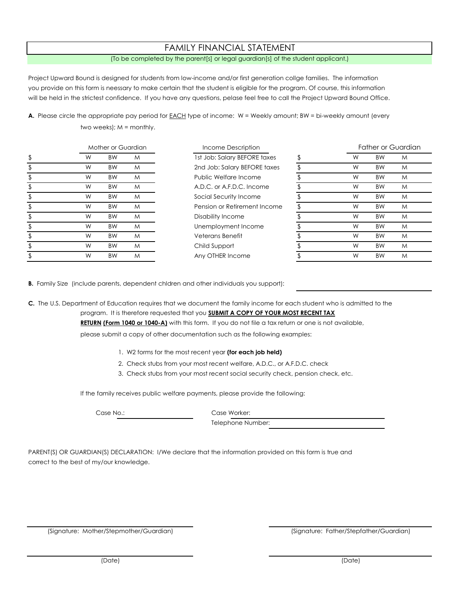#### FAMILY FINANCIAL STATEMENT

#### (To be completed by the parent[s] or legal guardian[s] of the student applicant.)

Project Upward Bound is designed for students from low-income and/or first generation collge families. The information you provide on this form is neessary to make certain that the student is eligible for the program. Of course, this information will be held in the strictest confidence. If you have any questions, pelase feel free to call the Project Upward Bound Office.

A. Please circle the appropriate pay period for **EACH** type of income: W = Weekly amount; BW = bi-weekly amount (every two weeks); M = monthly.

| Mother or Guardian |   | Income Description | Father or Guardian |                              |  |   |           |   |
|--------------------|---|--------------------|--------------------|------------------------------|--|---|-----------|---|
| \$                 | W | <b>BW</b>          | M                  | 1st Job: Salary BEFORE taxes |  | W | <b>BW</b> | M |
|                    | W | <b>BW</b>          | M                  | 2nd Job: Salary BEFORE taxes |  | W | <b>BW</b> | M |
|                    | W | <b>BW</b>          | M                  | Public Welfare Income        |  | W | <b>BW</b> | M |
|                    | W | <b>BW</b>          | M                  | A.D.C. or A.F.D.C. Income    |  | W | <b>BW</b> | M |
|                    | W | <b>BW</b>          | M                  | Social Security Income       |  | W | <b>BW</b> | M |
|                    | W | <b>BW</b>          | M                  | Pension or Retirement Income |  | W | <b>BW</b> | M |
|                    | W | <b>BW</b>          | M                  | Disability Income            |  | W | <b>BW</b> | M |
|                    | W | <b>BW</b>          | M                  | Unemployment Income          |  | W | <b>BW</b> | M |
|                    | W | <b>BW</b>          | M                  | Veterans Benefit             |  | W | <b>BW</b> | M |
|                    | W | <b>BW</b>          | M                  | Child Support                |  | W | <b>BW</b> | M |
|                    | W | <b>BW</b>          | M                  | Any OTHER Income             |  | W | <b>BW</b> | M |

**B.** Family Size (include parents, dependent chldren and other individuals you support):

**C.** The U.S. Department of Education requires that we document the family income for each student who is admitted to the

program. It is therefore requested that you **SUBMIT A COPY OF YOUR MOST RECENT TAX**

**RETURN (Form 1040 or 1040-A)** with this form. If you do not file a tax return or one is not available,

please submit a copy of other documentation such as the following examples:

- 1. W2 forms for the most recent year **(for each job held)**
- 2. Check stubs from your most recent welfare, A.D.C., or A.F.D.C. check
- 3. Check stubs from your most recent social security check, pension check, etc.

If the family receives public welfare payments, please provide the following:

Case No.: Case Worker:

Telephone Number:

PARENT(S) OR GUARDIAN(S) DECLARATION: I/We declare that the information provided on this form is true and correct to the best of my/our knowledge.

(Signature: Mother/Stepmother/Guardian)

(Signature: Father/Stepfather/Guardian)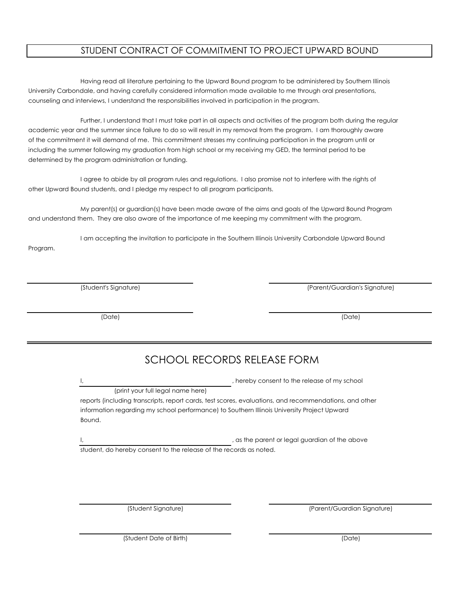### STUDENT CONTRACT OF COMMITMENT TO PROJECT UPWARD BOUND

Having read all literature pertaining to the Upward Bound program to be administered by Southern Illinois University Carbondale, and having carefully considered information made available to me through oral presentations, counseling and interviews, I understand the responsibilities involved in participation in the program.

Further, I understand that I must take part in all aspects and activities of the program both during the regular academic year and the summer since failure to do so will result in my removal from the program. I am thoroughly aware of the commitment it will demand of me. This commitment stresses my continuing participation in the program until or including the summer following my graduation from high school or my receiving my GED, the terminal period to be determined by the program administration or funding.

I agree to abide by all program rules and regulations. I also promise not to interfere with the rights of other Upward Bound students, and I pledge my respect to all program participants.

My parent(s) or guardian(s) have been made aware of the aims and goals of the Upward Bound Program and understand them. They are also aware of the importance of me keeping my commitment with the program.

I am accepting the invitation to participate in the Southern Illinois University Carbondale Upward Bound

(Student's Signature) (Parent/Guardian's Signature)

(Date) (Date)

# SCHOOL RECORDS RELEASE FORM

Program.

, hereby consent to the release of my school

(print your full legal name here)

reports (including transcripts, report cards, test scores, evaluations, and recommendations, and other information regarding my school performance) to Southern Illinois University Project Upward Bound.

, as the parent or legal guardian of the above student, do hereby consent to the release of the records as noted.

(Student Signature) (Parent/Guardian Signature)

(Student Date of Birth) (Date)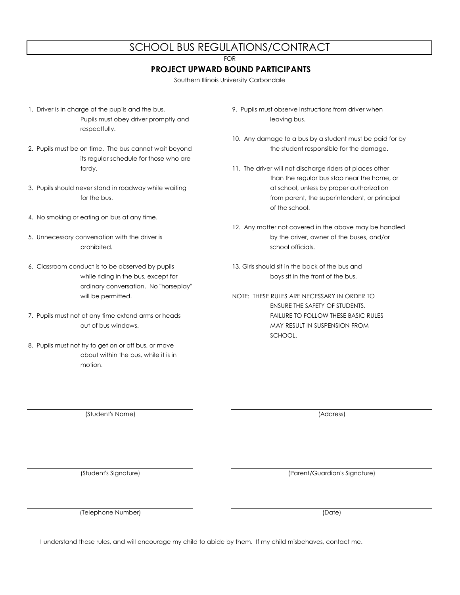### SCHOOL BUS REGULATIONS/CONTRACT

FOR

#### **PROJECT UPWARD BOUND PARTICIPANTS**

Southern Illinois University Carbondale

- 1. Driver is in charge of the pupils and the bus. 9. Pupils must observe instructions from driver when Pupils must obey driver promptly and leaving bus. respectfully.
- 2. Pupils must be on time. The bus cannot wait beyond the student responsible for the damage. its regular schedule for those who are
- 3. Pupils should never stand in roadway while waiting at the state of school, unless by proper authorization
- 4. No smoking or eating on bus at any time.
- prohibited. School officials.
- 6. Classroom conduct is to be observed by pupils 13. Girls should sit in the back of the bus and ordinary conversation. No "horseplay"
- 7. Pupils must not at any time extend arms or heads FAILURE TO FOLLOW THESE BASIC RULES
- 8. Pupils must not try to get on or off bus, or move about within the bus, while it is in motion.

- 10. Any damage to a bus by a student must be paid for by
- tardy. **11.** The driver will not discharge riders at places other than the regular bus stop near the home, or for the bus. from parent, the superintendent, or principal of the school.
- 12. Any matter not covered in the above may be handled 5. Unnecessary conversation with the driver is by the driver, owner of the buses, and/or
	- while riding in the bus, except for boys sit in the front of the bus.
	- will be permitted.  $\blacksquare$  NOTE: THESE RULES ARE NECESSARY IN ORDER TO ENSURE THE SAFETY OF STUDENTS. out of bus windows. MAY RESULT IN SUSPENSION FROM SCHOOL.

(Student's Name) (Address)

(Student's Signature) (Parent/Guardian's Signature)

(Telephone Number) (Date)

I understand these rules, and will encourage my child to abide by them. If my child misbehaves, contact me.